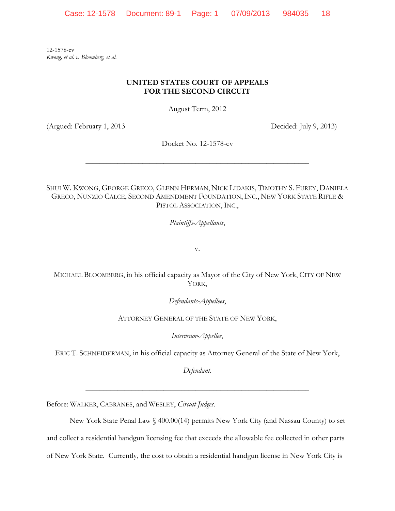12-1578-cv *Kwong, et al. v. Bloomberg, et al.*

# **UNITED STATES COURT OF APPEALS FOR THE SECOND CIRCUIT**

August Term, 2012

(Argued: February 1, 2013 Decided: July 9, 2013)

Docket No. 12-1578-cv

\_\_\_\_\_\_\_\_\_\_\_\_\_\_\_\_\_\_\_\_\_\_\_\_\_\_\_\_\_\_\_\_\_\_\_\_\_\_\_\_\_\_\_\_\_\_\_\_\_\_\_\_\_\_\_\_\_\_\_\_\_\_\_

SHUI W. KWONG, GEORGE GRECO, GLENN HERMAN, NICK LIDAKIS, TIMOTHY S. FUREY, DANIELA GRECO, NUNZIO CALCE, SECOND AMENDMENT FOUNDATION, INC., NEW YORK STATE RIFLE & PISTOL ASSOCIATION, INC.,

*Plaintiffs-Appellants*,

v.

MICHAEL BLOOMBERG, in his official capacity as Mayor of the City of New York, CITY OF NEW YORK,

*Defendants-Appellees*,

ATTORNEY GENERAL OF THE STATE OF NEW YORK,

*Intervenor-Appellee*,

ERIC T. SCHNEIDERMAN, in his official capacity as Attorney General of the State of New York,

*Defendant*.

\_\_\_\_\_\_\_\_\_\_\_\_\_\_\_\_\_\_\_\_\_\_\_\_\_\_\_\_\_\_\_\_\_\_\_\_\_\_\_\_\_\_\_\_\_\_\_\_\_\_\_\_\_\_\_\_\_\_\_\_\_\_\_

Before: WALKER, CABRANES, and WESLEY, *Circuit Judges*.

New York State Penal Law § 400.00(14) permits New York City (and Nassau County) to set and collect a residential handgun licensing fee that exceeds the allowable fee collected in other parts of New York State. Currently, the cost to obtain a residential handgun license in New York City is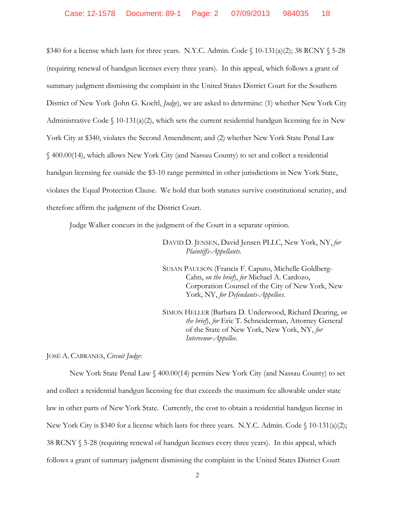\$340 for a license which lasts for three years. N.Y.C. Admin. Code § 10-131(a)(2); 38 RCNY § 5-28 (requiring renewal of handgun licenses every three years). In this appeal, which follows a grant of summary judgment dismissing the complaint in the United States District Court for the Southern District of New York (John G. Koeltl, *Judge*), we are asked to determine: (1) whether New York City Administrative Code  $\S$  10-131(a)(2), which sets the current residential handgun licensing fee in New York City at \$340, violates the Second Amendment; and (2) whether New York State Penal Law § 400.00(14), which allows New York City (and Nassau County) to set and collect a residential handgun licensing fee outside the \$3-10 range permitted in other jurisdictions in New York State, violates the Equal Protection Clause. We hold that both statutes survive constitutional scrutiny, and therefore affirm the judgment of the District Court.

Judge Walker concurs in the judgment of the Court in a separate opinion.

DAVID D. JENSEN, David Jensen PLLC, New York, NY, *for Plaintiffs-Appellants*.

SUSAN PAULSON (Francis F. Caputo, Michelle Goldberg-Cahn, *on the brief*), *for* Michael A. Cardozo, Corporation Counsel of the City of New York, New York, NY, *for Defendants-Appellees*.

SIMON HELLER (Barbara D. Underwood, Richard Dearing, *on the brief*), *for* Eric T. Schneiderman, Attorney General of the State of New York, New York, NY, *for Intervenor-Appellee*.

JOSÉ A. CABRANES, *Circuit Judge*:

New York State Penal Law § 400.00(14) permits New York City (and Nassau County) to set and collect a residential handgun licensing fee that exceeds the maximum fee allowable under state law in other parts of New York State. Currently, the cost to obtain a residential handgun license in New York City is \$340 for a license which lasts for three years. N.Y.C. Admin. Code § 10-131(a)(2); 38 RCNY § 5-28 (requiring renewal of handgun licenses every three years). In this appeal, which follows a grant of summary judgment dismissing the complaint in the United States District Court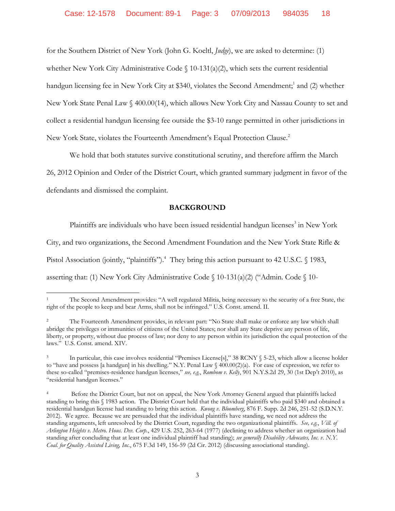for the Southern District of New York (John G. Koeltl, *Judge*), we are asked to determine: (1) whether New York City Administrative Code § 10-131(a)(2), which sets the current residential handgun licensing fee in New York City at \$340, violates the Second Amendment;<sup>1</sup> and (2) whether New York State Penal Law § 400.00(14), which allows New York City and Nassau County to set and collect a residential handgun licensing fee outside the \$3-10 range permitted in other jurisdictions in New York State, violates the Fourteenth Amendment's Equal Protection Clause.<sup>2</sup>

We hold that both statutes survive constitutional scrutiny, and therefore affirm the March 26, 2012 Opinion and Order of the District Court, which granted summary judgment in favor of the defendants and dismissed the complaint.

## **BACKGROUND**

Plaintiffs are individuals who have been issued residential handgun licenses<sup>3</sup> in New York

City, and two organizations, the Second Amendment Foundation and the New York State Rifle &

Pistol Association (jointly, "plaintiffs").<sup>4</sup> They bring this action pursuant to 42 U.S.C. § 1983,

asserting that: (1) New York City Administrative Code  $\{10-131(a)(2)\}$  ("Admin. Code  $\{10-131(a)(2)\}$ 

<sup>1</sup> The Second Amendment provides: "A well regulated Militia, being necessary to the security of a free State, the right of the people to keep and bear Arms, shall not be infringed." U.S. Const. amend. II.

<sup>2</sup> The Fourteenth Amendment provides, in relevant part: "No State shall make or enforce any law which shall abridge the privileges or immunities of citizens of the United States; nor shall any State deprive any person of life, liberty, or property, without due process of law; nor deny to any person within its jurisdiction the equal protection of the laws." U.S. Const. amend. XIV.

<sup>3</sup> In particular, this case involves residential "Premises License[s]," 38 RCNY § 5-23, which allow a license holder to "have and possess [a handgun] in his dwelling." N.Y. Penal Law § 400.00(2)(a). For ease of expression, we refer to these so-called "premises-residence handgun licenses," *see, e.g.*, *Rombom v. Kelly*, 901 N.Y.S.2d 29, 30 (1st Dep't 2010), as "residential handgun licenses."

<sup>4</sup> Before the District Court, but not on appeal, the New York Attorney General argued that plaintiffs lacked standing to bring this § 1983 action. The District Court held that the individual plaintiffs who paid \$340 and obtained a residential handgun license had standing to bring this action. *Kwong v. Bloomberg*, 876 F. Supp. 2d 246, 251-52 (S.D.N.Y. 2012). We agree. Because we are persuaded that the individual plaintiffs have standing, we need not address the standing arguments, left unresolved by the District Court, regarding the two organizational plaintiffs. *See, e.g.*, *Vill. of Arlington Heights v. Metro. Hous. Dev. Corp.*, 429 U.S. 252, 263-64 (1977) (declining to address whether an organization had standing after concluding that at least one individual plaintiff had standing); *see generally Disability Advocates, Inc. v. N.Y. Coal. for Quality Assisted Living, Inc.*, 675 F.3d 149, 156-59 (2d Cir. 2012) (discussing associational standing).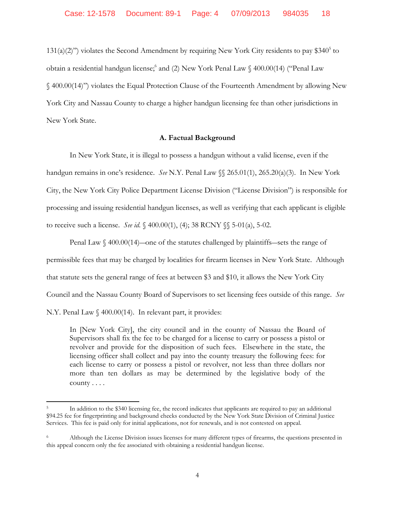$131(a)(2)$ ") violates the Second Amendment by requiring New York City residents to pay \$340<sup>5</sup> to obtain a residential handgun license; and (2) New York Penal Law § 400.00(14) ("Penal Law § 400.00(14)") violates the Equal Protection Clause of the Fourteenth Amendment by allowing New York City and Nassau County to charge a higher handgun licensing fee than other jurisdictions in New York State.

## **A. Factual Background**

In New York State, it is illegal to possess a handgun without a valid license, even if the handgun remains in one's residence. *See* N.Y. Penal Law §§ 265.01(1), 265.20(a)(3). In New York City, the New York City Police Department License Division ("License Division") is responsible for processing and issuing residential handgun licenses, as well as verifying that each applicant is eligible to receive such a license. *See id.* § 400.00(1), (4); 38 RCNY §§ 5-01(a), 5-02.

Penal Law § 400.00(14)—one of the statutes challenged by plaintiffs—sets the range of permissible fees that may be charged by localities for firearm licenses in New York State. Although that statute sets the general range of fees at between \$3 and \$10, it allows the New York City Council and the Nassau County Board of Supervisors to set licensing fees outside of this range. *See*  N.Y. Penal Law § 400.00(14). In relevant part, it provides:

In [New York City], the city council and in the county of Nassau the Board of Supervisors shall fix the fee to be charged for a license to carry or possess a pistol or revolver and provide for the disposition of such fees. Elsewhere in the state, the licensing officer shall collect and pay into the county treasury the following fees: for each license to carry or possess a pistol or revolver, not less than three dollars nor more than ten dollars as may be determined by the legislative body of the county . . . .

<sup>5</sup> In addition to the \$340 licensing fee, the record indicates that applicants are required to pay an additional \$94.25 fee for fingerprinting and background checks conducted by the New York State Division of Criminal Justice Services. This fee is paid only for initial applications, not for renewals, and is not contested on appeal.

<sup>6</sup> Although the License Division issues licenses for many different types of firearms, the questions presented in this appeal concern only the fee associated with obtaining a residential handgun license.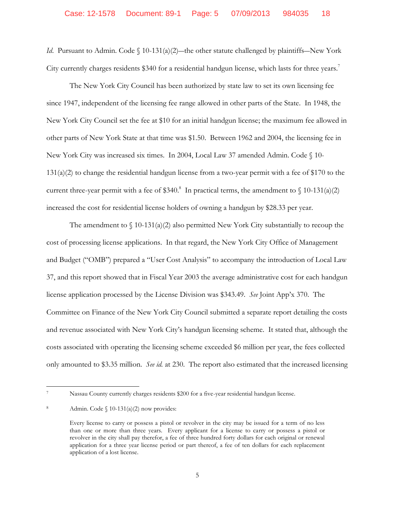*Id.* Pursuant to Admin. Code  $\int$  10-131(a)(2)—the other statute challenged by plaintiffs—New York City currently charges residents \$340 for a residential handgun license, which lasts for three years.<sup>7</sup>

The New York City Council has been authorized by state law to set its own licensing fee since 1947, independent of the licensing fee range allowed in other parts of the State. In 1948, the New York City Council set the fee at \$10 for an initial handgun license; the maximum fee allowed in other parts of New York State at that time was \$1.50. Between 1962 and 2004, the licensing fee in New York City was increased six times. In 2004, Local Law 37 amended Admin. Code § 10- 131(a)(2) to change the residential handgun license from a two-year permit with a fee of \$170 to the current three-year permit with a fee of \$340.<sup>8</sup> In practical terms, the amendment to  $\int$  10-131(a)(2) increased the cost for residential license holders of owning a handgun by \$28.33 per year.

The amendment to  $\{(10-131(a)(2) \text{ also permitted New York City substantially to recoup the})\}$ cost of processing license applications. In that regard, the New York City Office of Management and Budget ("OMB") prepared a "User Cost Analysis" to accompany the introduction of Local Law 37, and this report showed that in Fiscal Year 2003 the average administrative cost for each handgun license application processed by the License Division was \$343.49. *See* Joint App'x 370. The Committee on Finance of the New York City Council submitted a separate report detailing the costs and revenue associated with New York City's handgun licensing scheme. It stated that, although the costs associated with operating the licensing scheme exceeded \$6 million per year, the fees collected only amounted to \$3.35 million. *See id.* at 230. The report also estimated that the increased licensing

l

Nassau County currently charges residents \$200 for a five-year residential handgun license.

<sup>8</sup> Admin. Code  $\{10-131(a)(2)$  now provides:

Every license to carry or possess a pistol or revolver in the city may be issued for a term of no less than one or more than three years. Every applicant for a license to carry or possess a pistol or revolver in the city shall pay therefor, a fee of three hundred forty dollars for each original or renewal application for a three year license period or part thereof, a fee of ten dollars for each replacement application of a lost license.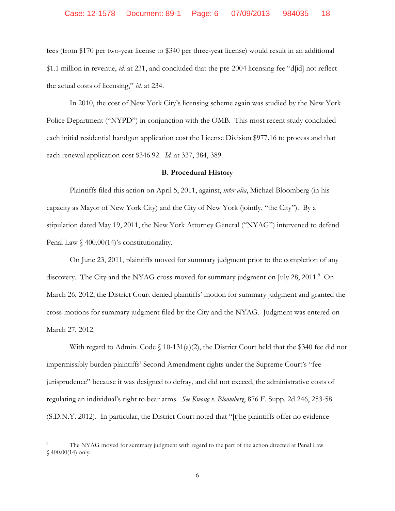fees (from \$170 per two-year license to \$340 per three-year license) would result in an additional \$1.1 million in revenue, *id.* at 231, and concluded that the pre-2004 licensing fee "d[id] not reflect the actual costs of licensing," *id.* at 234.

In 2010, the cost of New York City's licensing scheme again was studied by the New York Police Department ("NYPD") in conjunction with the OMB. This most recent study concluded each initial residential handgun application cost the License Division \$977.16 to process and that each renewal application cost \$346.92. *Id.* at 337, 384, 389.

#### **B. Procedural History**

Plaintiffs filed this action on April 5, 2011, against, *inter alia*, Michael Bloomberg (in his capacity as Mayor of New York City) and the City of New York (jointly, "the City"). By a stipulation dated May 19, 2011, the New York Attorney General ("NYAG") intervened to defend Penal Law  $\frac{6}{9}$  400.00(14)'s constitutionality.

On June 23, 2011, plaintiffs moved for summary judgment prior to the completion of any discovery. The City and the NYAG cross-moved for summary judgment on July 28, 2011.<sup>9</sup> On March 26, 2012, the District Court denied plaintiffs' motion for summary judgment and granted the cross-motions for summary judgment filed by the City and the NYAG. Judgment was entered on March 27, 2012.

With regard to Admin. Code  $\S$  10-131(a)(2), the District Court held that the \$340 fee did not impermissibly burden plaintiffs' Second Amendment rights under the Supreme Court's "fee jurisprudence" because it was designed to defray, and did not exceed, the administrative costs of regulating an individual's right to bear arms. *See Kwong v. Bloomberg*, 876 F. Supp. 2d 246, 253-58 (S.D.N.Y. 2012). In particular, the District Court noted that "[t]he plaintiffs offer no evidence

<sup>9</sup> The NYAG moved for summary judgment with regard to the part of the action directed at Penal Law § 400.00(14) only.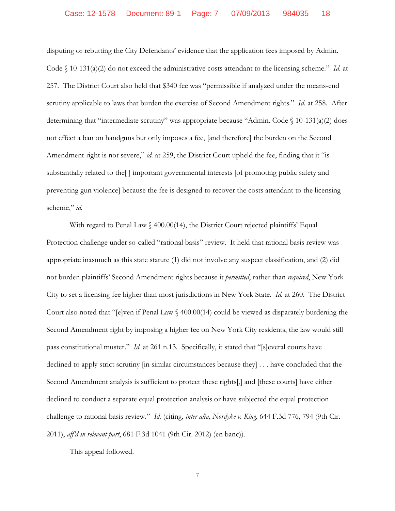disputing or rebutting the City Defendants' evidence that the application fees imposed by Admin. Code § 10-131(a)(2) do not exceed the administrative costs attendant to the licensing scheme." *Id.* at 257. The District Court also held that \$340 fee was "permissible if analyzed under the means-end scrutiny applicable to laws that burden the exercise of Second Amendment rights." *Id.* at 258. After determining that "intermediate scrutiny" was appropriate because "Admin. Code § 10-131(a)(2) does not effect a ban on handguns but only imposes a fee, [and therefore] the burden on the Second Amendment right is not severe," *id.* at 259, the District Court upheld the fee, finding that it "is substantially related to the[ ] important governmental interests [of promoting public safety and preventing gun violence] because the fee is designed to recover the costs attendant to the licensing scheme," *id.*

With regard to Penal Law  $\frac{6}{400.00(14)}$ , the District Court rejected plaintiffs' Equal Protection challenge under so-called "rational basis" review. It held that rational basis review was appropriate inasmuch as this state statute (1) did not involve any suspect classification, and (2) did not burden plaintiffs' Second Amendment rights because it *permitted*, rather than *required*, New York City to set a licensing fee higher than most jurisdictions in New York State. *Id.* at 260. The District Court also noted that "[e]ven if Penal Law § 400.00(14) could be viewed as disparately burdening the Second Amendment right by imposing a higher fee on New York City residents, the law would still pass constitutional muster." *Id.* at 261 n.13. Specifically, it stated that "[s]everal courts have declined to apply strict scrutiny [in similar circumstances because they] . . . have concluded that the Second Amendment analysis is sufficient to protect these rights[,] and [these courts] have either declined to conduct a separate equal protection analysis or have subjected the equal protection challenge to rational basis review." *Id.* (citing, *inter alia*, *Nordyke v. King*, 644 F.3d 776, 794 (9th Cir. 2011), *aff'd in relevant part*, 681 F.3d 1041 (9th Cir. 2012) (en banc)).

This appeal followed.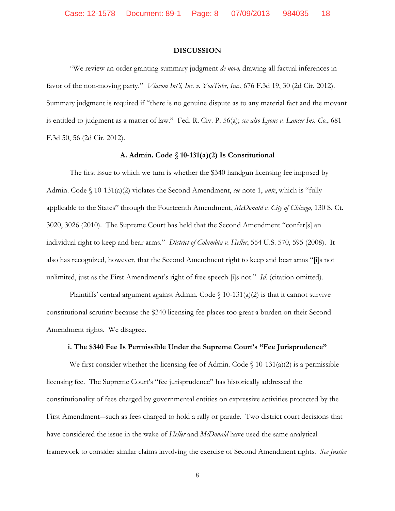### **DISCUSSION**

"We review an order granting summary judgment *de novo,* drawing all factual inferences in favor of the non-moving party." *Viacom Int'l, Inc. v. YouTube, Inc.*, 676 F.3d 19, 30 (2d Cir. 2012). Summary judgment is required if "there is no genuine dispute as to any material fact and the movant is entitled to judgment as a matter of law." Fed. R. Civ. P. 56(a); *see also Lyons v. Lancer Ins. Co.*, 681 F.3d 50, 56 (2d Cir. 2012).

### **A. Admin. Code § 10-131(a)(2) Is Constitutional**

The first issue to which we turn is whether the \$340 handgun licensing fee imposed by Admin. Code § 10-131(a)(2) violates the Second Amendment, *see* note 1, *ante*, which is "fully applicable to the States" through the Fourteenth Amendment, *McDonald v. City of Chicago*, 130 S. Ct. 3020, 3026 (2010). The Supreme Court has held that the Second Amendment "confer[s] an individual right to keep and bear arms." *District of Columbia v. Heller*, 554 U.S. 570, 595 (2008). It also has recognized, however, that the Second Amendment right to keep and bear arms "[i]s not unlimited, just as the First Amendment's right of free speech [i]s not." *Id.* (citation omitted).

Plaintiffs' central argument against Admin. Code  $\{(10-131(a)/2)$  is that it cannot survive constitutional scrutiny because the \$340 licensing fee places too great a burden on their Second Amendment rights. We disagree.

### **i. The \$340 Fee Is Permissible Under the Supreme Court's "Fee Jurisprudence"**

We first consider whether the licensing fee of Admin. Code  $\binom{10-131(a)(2)}{2}$  is a permissible licensing fee. The Supreme Court's "fee jurisprudence" has historically addressed the constitutionality of fees charged by governmental entities on expressive activities protected by the First Amendment―such as fees charged to hold a rally or parade. Two district court decisions that have considered the issue in the wake of *Heller* and *McDonald* have used the same analytical framework to consider similar claims involving the exercise of Second Amendment rights. *See Justice*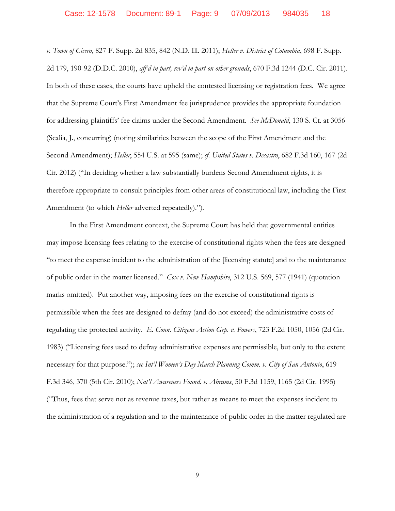*v. Town of Cicero*, 827 F. Supp. 2d 835, 842 (N.D. Ill. 2011); *Heller v. District of Columbia*, 698 F. Supp. 2d 179, 190-92 (D.D.C. 2010), *aff'd in part, rev'd in part on other grounds*, 670 F.3d 1244 (D.C. Cir. 2011). In both of these cases, the courts have upheld the contested licensing or registration fees. We agree that the Supreme Court's First Amendment fee jurisprudence provides the appropriate foundation for addressing plaintiffs' fee claims under the Second Amendment. *See McDonald*, 130 S. Ct. at 3056 (Scalia, J., concurring) (noting similarities between the scope of the First Amendment and the Second Amendment); *Heller*, 554 U.S. at 595 (same); *cf*. *United States v. Decastro*, 682 F.3d 160, 167 (2d Cir. 2012) ("In deciding whether a law substantially burdens Second Amendment rights, it is therefore appropriate to consult principles from other areas of constitutional law, including the First Amendment (to which *Heller* adverted repeatedly).").

In the First Amendment context, the Supreme Court has held that governmental entities may impose licensing fees relating to the exercise of constitutional rights when the fees are designed "to meet the expense incident to the administration of the [licensing statute] and to the maintenance of public order in the matter licensed." *Cox v. New Hampshire*, 312 U.S. 569, 577 (1941) (quotation marks omitted). Put another way, imposing fees on the exercise of constitutional rights is permissible when the fees are designed to defray (and do not exceed) the administrative costs of regulating the protected activity. *E. Conn. Citizens Action Grp. v. Powers*, 723 F.2d 1050, 1056 (2d Cir. 1983) ("Licensing fees used to defray administrative expenses are permissible, but only to the extent necessary for that purpose."); *see Int'l Women's Day March Planning Comm. v. City of San Antonio*, 619 F.3d 346, 370 (5th Cir. 2010); *Nat'l Awareness Found. v. Abrams*, 50 F.3d 1159, 1165 (2d Cir. 1995) ("Thus, fees that serve not as revenue taxes, but rather as means to meet the expenses incident to the administration of a regulation and to the maintenance of public order in the matter regulated are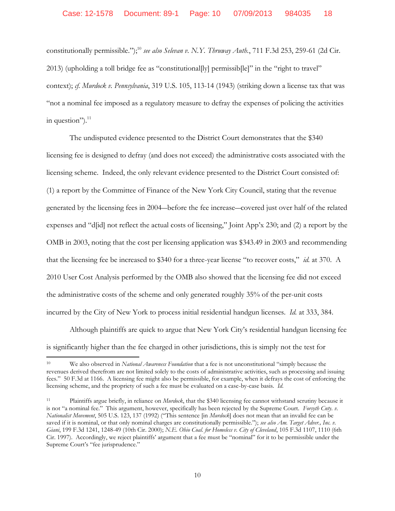constitutionally permissible."); <sup>10</sup> *see also Selevan v. N.Y. Thruway Auth.*, 711 F.3d 253, 259-61 (2d Cir. 2013) (upholding a toll bridge fee as "constitutional[ly] permissib[le]" in the "right to travel" context); *cf. Murdock v. Pennsylvania*, 319 U.S. 105, 113-14 (1943) (striking down a license tax that was "not a nominal fee imposed as a regulatory measure to defray the expenses of policing the activities in question"). $^{11}$ 

The undisputed evidence presented to the District Court demonstrates that the \$340 licensing fee is designed to defray (and does not exceed) the administrative costs associated with the licensing scheme. Indeed, the only relevant evidence presented to the District Court consisted of: (1) a report by the Committee of Finance of the New York City Council, stating that the revenue generated by the licensing fees in 2004―before the fee increase―covered just over half of the related expenses and "d[id] not reflect the actual costs of licensing," Joint App'x 230; and (2) a report by the OMB in 2003, noting that the cost per licensing application was \$343.49 in 2003 and recommending that the licensing fee be increased to \$340 for a three-year license "to recover costs," *id.* at 370. A 2010 User Cost Analysis performed by the OMB also showed that the licensing fee did not exceed the administrative costs of the scheme and only generated roughly 35% of the per-unit costs incurred by the City of New York to process initial residential handgun licenses. *Id.* at 333, 384.

Although plaintiffs are quick to argue that New York City's residential handgun licensing fee is significantly higher than the fee charged in other jurisdictions, this is simply not the test for

<sup>10</sup> We also observed in *National Awareness Foundation* that a fee is not unconstitutional "simply because the revenues derived therefrom are not limited solely to the costs of administrative activities, such as processing and issuing fees." 50 F.3d at 1166. A licensing fee might also be permissible, for example, when it defrays the cost of enforcing the licensing scheme, and the propriety of such a fee must be evaluated on a case-by-case basis. *Id.*

<sup>11</sup> Plaintiffs argue briefly, in reliance on *Murdock*, that the \$340 licensing fee cannot withstand scrutiny because it is not "a nominal fee." This argument, however, specifically has been rejected by the Supreme Court. *Forsyth Cnty. v. Nationalist Movement*, 505 U.S. 123, 137 (1992) ("This sentence [in *Murdock*] does not mean that an invalid fee can be saved if it is nominal, or that only nominal charges are constitutionally permissible."); *see also Am. Target Adver., Inc. v. Giani*, 199 F.3d 1241, 1248-49 (10th Cir. 2000); *N.E. Ohio Coal. for Homeless v. City of Cleveland*, 105 F.3d 1107, 1110 (6th Cir. 1997). Accordingly, we reject plaintiffs' argument that a fee must be "nominal" for it to be permissible under the Supreme Court's "fee jurisprudence."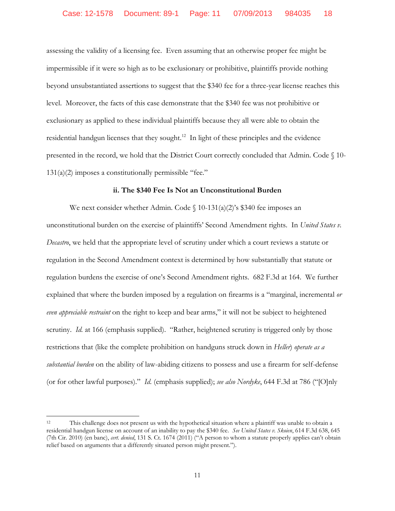assessing the validity of a licensing fee. Even assuming that an otherwise proper fee might be impermissible if it were so high as to be exclusionary or prohibitive, plaintiffs provide nothing beyond unsubstantiated assertions to suggest that the \$340 fee for a three-year license reaches this level. Moreover, the facts of this case demonstrate that the \$340 fee was not prohibitive or exclusionary as applied to these individual plaintiffs because they all were able to obtain the residential handgun licenses that they sought.<sup>12</sup> In light of these principles and the evidence presented in the record, we hold that the District Court correctly concluded that Admin. Code § 10- 131(a)(2) imposes a constitutionally permissible "fee."

### **ii. The \$340 Fee Is Not an Unconstitutional Burden**

We next consider whether Admin. Code  $\int$  10-131(a)(2)'s \$340 fee imposes an unconstitutional burden on the exercise of plaintiffs' Second Amendment rights. In *United States v. Decastro*, we held that the appropriate level of scrutiny under which a court reviews a statute or regulation in the Second Amendment context is determined by how substantially that statute or regulation burdens the exercise of one's Second Amendment rights. 682 F.3d at 164. We further explained that where the burden imposed by a regulation on firearms is a "marginal, incremental *or even appreciable restraint* on the right to keep and bear arms," it will not be subject to heightened scrutiny. *Id.* at 166 (emphasis supplied). "Rather, heightened scrutiny is triggered only by those restrictions that (like the complete prohibition on handguns struck down in *Heller*) *operate as a substantial burden* on the ability of law-abiding citizens to possess and use a firearm for self-defense (or for other lawful purposes)." *Id.* (emphasis supplied); *see also Nordyke*, 644 F.3d at 786 ("[O]nly

l

<sup>12</sup> This challenge does not present us with the hypothetical situation where a plaintiff was unable to obtain a residential handgun license on account of an inability to pay the \$340 fee. *See United States v. Skoien*, 614 F.3d 638, 645 (7th Cir. 2010) (en banc), *cert. denied*, 131 S. Ct. 1674 (2011) ("A person to whom a statute properly applies can't obtain relief based on arguments that a differently situated person might present.").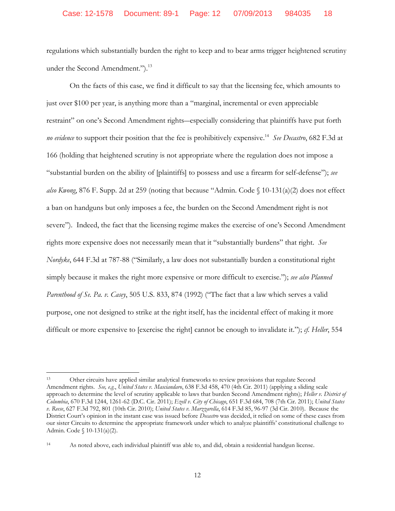regulations which substantially burden the right to keep and to bear arms trigger heightened scrutiny under the Second Amendment.").<sup>13</sup>

On the facts of this case, we find it difficult to say that the licensing fee, which amounts to just over \$100 per year, is anything more than a "marginal, incremental or even appreciable restraint" on one's Second Amendment rights―especially considering that plaintiffs have put forth *no evidence* to support their position that the fee is prohibitively expensive. 14 *See Decastro*, 682 F.3d at 166 (holding that heightened scrutiny is not appropriate where the regulation does not impose a "substantial burden on the ability of [plaintiffs] to possess and use a firearm for self-defense"); *see also Kwong*, 876 F. Supp. 2d at 259 (noting that because "Admin. Code § 10-131(a)(2) does not effect a ban on handguns but only imposes a fee, the burden on the Second Amendment right is not severe"). Indeed, the fact that the licensing regime makes the exercise of one's Second Amendment rights more expensive does not necessarily mean that it "substantially burdens" that right. *See Nordyke*, 644 F.3d at 787-88 ("Similarly, a law does not substantially burden a constitutional right simply because it makes the right more expensive or more difficult to exercise."); *see also Planned Parenthood of Se. Pa. v. Casey*, 505 U.S. 833, 874 (1992) ("The fact that a law which serves a valid purpose, one not designed to strike at the right itself, has the incidental effect of making it more difficult or more expensive to [exercise the right] cannot be enough to invalidate it."); *cf. Heller*, 554

<sup>13</sup> Other circuits have applied similar analytical frameworks to review provisions that regulate Second Amendment rights. *See, e.g.*, *United States v. Masciandaro*, 638 F.3d 458, 470 (4th Cir. 2011) (applying a sliding scale approach to determine the level of scrutiny applicable to laws that burden Second Amendment rights); *Heller v. District of Columbia*, 670 F.3d 1244, 1261-62 (D.C. Cir. 2011); *Ezell v. City of Chicago*, 651 F.3d 684, 708 (7th Cir. 2011); *United States v. Reese*, 627 F.3d 792, 801 (10th Cir. 2010); *United States v. Marzzarella*, 614 F.3d 85, 96-97 (3d Cir. 2010). Because the District Court's opinion in the instant case was issued before *Decastro* was decided, it relied on some of these cases from our sister Circuits to determine the appropriate framework under which to analyze plaintiffs' constitutional challenge to Admin. Code § 10-131(a)(2).

<sup>14</sup> As noted above, each individual plaintiff was able to, and did, obtain a residential handgun license.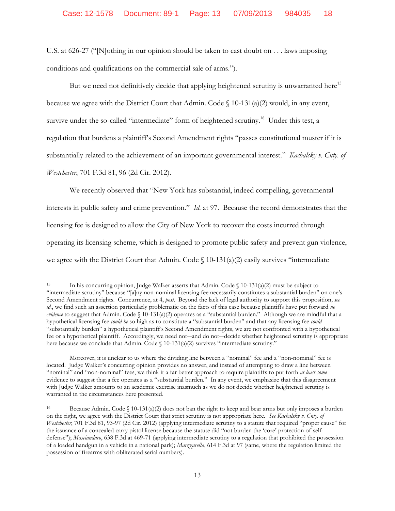U.S. at 626-27 ("[N]othing in our opinion should be taken to cast doubt on . . . laws imposing conditions and qualifications on the commercial sale of arms.").

But we need not definitively decide that applying heightened scrutiny is unwarranted here<sup>15</sup> because we agree with the District Court that Admin. Code  $\int$  10-131(a)(2) would, in any event, survive under the so-called "intermediate" form of heightened scrutiny.<sup>16</sup> Under this test, a regulation that burdens a plaintiff's Second Amendment rights "passes constitutional muster if it is substantially related to the achievement of an important governmental interest." *Kachalsky v. Cnty. of Westchester*, 701 F.3d 81, 96 (2d Cir. 2012).

We recently observed that "New York has substantial, indeed compelling, governmental interests in public safety and crime prevention." *Id.* at 97. Because the record demonstrates that the licensing fee is designed to allow the City of New York to recover the costs incurred through operating its licensing scheme, which is designed to promote public safety and prevent gun violence, we agree with the District Court that Admin. Code  $\int$  10-131(a)(2) easily survives "intermediate

l

<sup>15</sup> In his concurring opinion, Judge Walker asserts that Admin. Code § 10-131(a)(2) must be subject to "intermediate scrutiny" because "[a]ny non-nominal licensing fee necessarily constitutes a substantial burden" on one's Second Amendment rights. Concurrence, at 4, *post*. Beyond the lack of legal authority to support this proposition, *see id.*, we find such an assertion particularly problematic on the facts of this case because plaintiffs have put forward *no evidence* to suggest that Admin. Code § 10-131(a)(2) operates as a "substantial burden." Although we are mindful that a hypothetical licensing fee *could be* so high as to constitute a "substantial burden" and that any licensing fee *could* "substantially burden" a hypothetical plaintiff's Second Amendment rights, we are not confronted with a hypothetical fee or a hypothetical plaintiff. Accordingly, we need not—and do not—decide whether heightened scrutiny is appropriate here because we conclude that Admin. Code § 10-131(a)(2) survives "intermediate scrutiny."

Moreover, it is unclear to us where the dividing line between a "nominal" fee and a "non-nominal" fee is located. Judge Walker's concurring opinion provides no answer, and instead of attempting to draw a line between "nominal" and "non-nominal" fees, we think it a far better approach to require plaintiffs to put forth *at least some* evidence to suggest that a fee operates as a "substantial burden." In any event, we emphasize that this disagreement with Judge Walker amounts to an academic exercise inasmuch as we do not decide whether heightened scrutiny is warranted in the circumstances here presented.

<sup>16</sup> Because Admin. Code  $\binom{10-131(a)(2)}{2}$  does not ban the right to keep and bear arms but only imposes a burden on the right, we agree with the District Court that strict scrutiny is not appropriate here. *See Kachalsky v. Cnty. of Westchester*, 701 F.3d 81, 93-97 (2d Cir. 2012) (applying intermediate scrutiny to a statute that required "proper cause" for the issuance of a concealed carry pistol license because the statute did "not burden the 'core' protection of selfdefense"); *Masciandaro*, 638 F.3d at 469-71 (applying intermediate scrutiny to a regulation that prohibited the possession of a loaded handgun in a vehicle in a national park); *Marzzarella*, 614 F.3d at 97 (same, where the regulation limited the possession of firearms with obliterated serial numbers).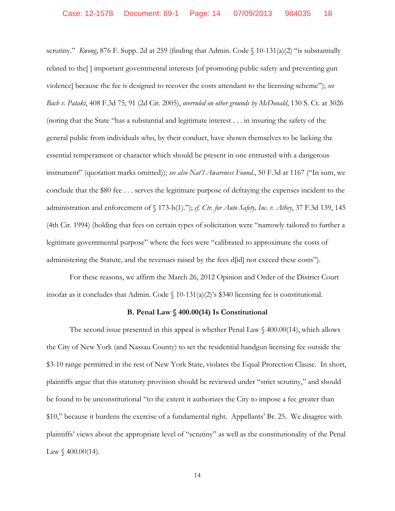scrutiny." *Kwong*, 876 F. Supp. 2d at 259 (finding that Admin. Code § 10-131(a)(2) "is substantially related to the[ ] important governmental interests [of promoting public safety and preventing gun violence] because the fee is designed to recover the costs attendant to the licensing scheme"); *see Bach v. Pataki*, 408 F.3d 75, 91 (2d Cir. 2005), *overruled on other grounds by McDonald*, 130 S. Ct. at 3026 (noting that the State "has a substantial and legitimate interest . . . in insuring the safety of the general public from individuals who, by their conduct, have shown themselves to be lacking the essential temperament or character which should be present in one entrusted with a dangerous instrument" (quotation marks omitted)); *see also Nat'l Awareness Found.*, 50 F.3d at 1167 ("In sum, we conclude that the \$80 fee . . . serves the legitimate purpose of defraying the expenses incident to the administration and enforcement of § 173-b(1)."); *cf. Ctr. for Auto Safety, Inc. v. Athey*, 37 F.3d 139, 145 (4th Cir. 1994) (holding that fees on certain types of solicitation were "narrowly tailored to further a legitimate governmental purpose" where the fees were "calibrated to approximate the costs of administering the Statute, and the revenues raised by the fees d[id] not exceed these costs").

For these reasons, we affirm the March 26, 2012 Opinion and Order of the District Court insofar as it concludes that Admin. Code  $\{(10-131(a)(2)\)$ 's \$340 licensing fee is constitutional.

### **B. Penal Law § 400.00(14) Is Constitutional**

The second issue presented in this appeal is whether Penal Law  $\Diamond$  400.00(14), which allows the City of New York (and Nassau County) to set the residential handgun licensing fee outside the \$3-10 range permitted in the rest of New York State, violates the Equal Protection Clause. In short, plaintiffs argue that this statutory provision should be reviewed under "strict scrutiny," and should be found to be unconstitutional "to the extent it authorizes the City to impose a fee greater than \$10," because it burdens the exercise of a fundamental right. Appellants' Br. 25. We disagree with plaintiffs' views about the appropriate level of "scrutiny" as well as the constitutionality of the Penal Law  $\sqrt{400.00(14)}$ .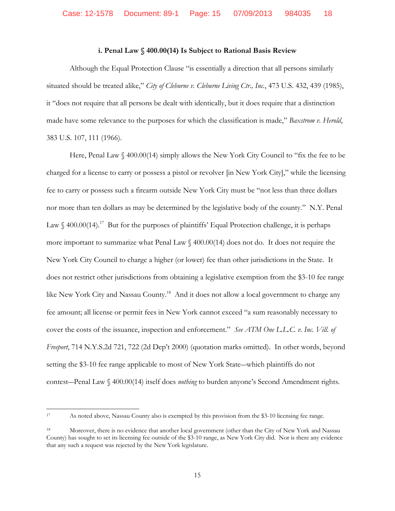### **i. Penal Law § 400.00(14) Is Subject to Rational Basis Review**

Although the Equal Protection Clause "is essentially a direction that all persons similarly situated should be treated alike," *City of Cleburne v. Cleburne Living Ctr., Inc.*, 473 U.S. 432, 439 (1985), it "does not require that all persons be dealt with identically, but it does require that a distinction made have some relevance to the purposes for which the classification is made," *Baxstrom v. Herold*, 383 U.S. 107, 111 (1966).

Here, Penal Law § 400.00(14) simply allows the New York City Council to "fix the fee to be charged for a license to carry or possess a pistol or revolver [in New York City]," while the licensing fee to carry or possess such a firearm outside New York City must be "not less than three dollars nor more than ten dollars as may be determined by the legislative body of the county." N.Y. Penal Law  $\S$  400.00(14).<sup>17</sup> But for the purposes of plaintiffs' Equal Protection challenge, it is perhaps more important to summarize what Penal Law § 400.00(14) does not do. It does not require the New York City Council to charge a higher (or lower) fee than other jurisdictions in the State. It does not restrict other jurisdictions from obtaining a legislative exemption from the \$3-10 fee range like New York City and Nassau County.<sup>18</sup> And it does not allow a local government to charge any fee amount; all license or permit fees in New York cannot exceed "a sum reasonably necessary to cover the costs of the issuance, inspection and enforcement." *See ATM One L.L.C. v. Inc. Vill. of Freeport*, 714 N.Y.S.2d 721, 722 (2d Dep't 2000) (quotation marks omitted). In other words, beyond setting the \$3-10 fee range applicable to most of New York State―which plaintiffs do not contest―Penal Law § 400.00(14) itself does *nothing* to burden anyone's Second Amendment rights.

 $\frac{1}{17}$ As noted above, Nassau County also is exempted by this provision from the \$3-10 licensing fee range.

<sup>18</sup> Moreover, there is no evidence that another local government (other than the City of New York and Nassau County) has sought to set its licensing fee outside of the \$3-10 range, as New York City did. Nor is there any evidence that any such a request was rejected by the New York legislature.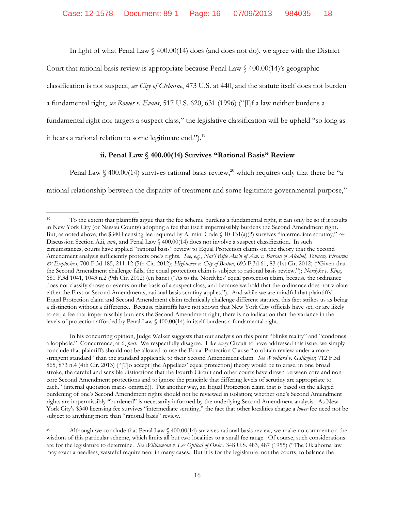In light of what Penal Law  $\ell$  400.00(14) does (and does not do), we agree with the District

Court that rational basis review is appropriate because Penal Law § 400.00(14)'s geographic

classification is not suspect, *see City of Cleburne*, 473 U.S. at 440, and the statute itself does not burden

a fundamental right, *see Romer v. Evans*, 517 U.S. 620, 631 (1996) ("[I]f a law neither burdens a

fundamental right nor targets a suspect class," the legislative classification will be upheld "so long as

it bears a rational relation to some legitimate end.").<sup>19</sup>

# **ii. Penal Law § 400.00(14) Survives "Rational Basis" Review**

Penal Law § 400.00(14) survives rational basis review,<sup>20</sup> which requires only that there be "a

rational relationship between the disparity of treatment and some legitimate governmental purpose,"

In his concurring opinion, Judge Walker suggests that our analysis on this point "blinks reality" and "condones a loophole." Concurrence, at 6, *post*. We respectfully disagree. Like *every* Circuit to have addressed this issue, we simply conclude that plaintiffs should not be allowed to use the Equal Protection Clause "to obtain review under a more stringent standard" than the standard applicable to their Second Amendment claim. *See Woollard v. Gallagher*, 712 F.3d 865, 873 n.4 (4th Cir. 2013) ("[T]o accept [the Appellees' equal protection] theory would be to erase, in one broad stroke, the careful and sensible distinctions that the Fourth Circuit and other courts have drawn between core and noncore Second Amendment protections and to ignore the principle that differing levels of scrutiny are appropriate to each." (internal quotation marks omitted)). Put another way, an Equal Protection claim that is based on the alleged burdening of one's Second Amendment rights should not be reviewed in isolation; whether one's Second Amendment rights are impermissibly "burdened" is necessarily informed by the underlying Second Amendment analysis. As New York City's \$340 licensing fee survives "intermediate scrutiny," the fact that other localities charge a *lower* fee need not be subject to anything more than "rational basis" review.

 $\overline{a}$ <sup>19</sup> To the extent that plaintiffs argue that the fee scheme burdens a fundamental right, it can only be so if it results in New York City (or Nassau County) adopting a fee that itself impermissibly burdens the Second Amendment right. But, as noted above, the \$340 licensing fee required by Admin. Code § 10-131(a)(2) survives "intermediate scrutiny," *see* Discussion Section A.ii, *ante*, and Penal Law § 400.00(14) does not involve a suspect classification. In such circumstances, courts have applied "rational basis" review to Equal Protection claims on the theory that the Second Amendment analysis sufficiently protects one's rights. *See, e.g.*, *Nat'l Rifle Ass'n of Am. v. Bureau of Alcohol, Tobacco, Firearms & Explosives*, 700 F.3d 185, 211-12 (5th Cir. 2012); *Hightower v. City of Boston*, 693 F.3d 61, 83 (1st Cir. 2012) ("Given that the Second Amendment challenge fails, the equal protection claim is subject to rational basis review."); *Nordyke v. King*, 681 F.3d 1041, 1043 n.2 (9th Cir. 2012) (en banc) ("As to the Nordykes' equal protection claim, because the ordinance does not classify shows or events on the basis of a suspect class, and because we hold that the ordinance does not violate either the First or Second Amendments, rational basis scrutiny applies."). And while we are mindful that plaintiffs' Equal Protection claim and Second Amendment claim technically challenge different statutes, this fact strikes us as being a distinction without a difference. Because plaintiffs have not shown that New York City officials have set, or are likely to set, a fee that impermissibly burdens the Second Amendment right, there is no indication that the variance in the levels of protection afforded by Penal Law § 400.00(14) in itself burdens a fundamental right.

<sup>20</sup> Although we conclude that Penal Law  $\sqrt{$400.00(14)}$  survives rational basis review, we make no comment on the wisdom of this particular scheme, which limits all but two localities to a small fee range. Of course, such considerations are for the legislature to determine. *See Williamson v. Lee Optical of Okla.*, 348 U.S. 483, 487 (1955) ("The Oklahoma law may exact a needless, wasteful requirement in many cases. But it is for the legislature, not the courts, to balance the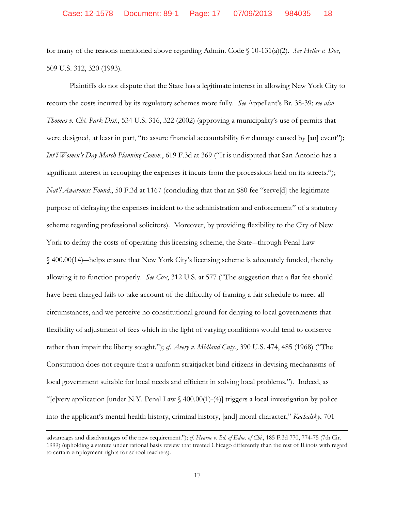for many of the reasons mentioned above regarding Admin. Code § 10-131(a)(2). *See Heller v. Doe*, 509 U.S. 312, 320 (1993).

Plaintiffs do not dispute that the State has a legitimate interest in allowing New York City to recoup the costs incurred by its regulatory schemes more fully. *See* Appellant's Br. 38-39; *see also Thomas v. Chi. Park Dist.*, 534 U.S. 316, 322 (2002) (approving a municipality's use of permits that were designed, at least in part, "to assure financial accountability for damage caused by [an] event"); *Int'l Women's Day March Planning Comm.*, 619 F.3d at 369 ("It is undisputed that San Antonio has a significant interest in recouping the expenses it incurs from the processions held on its streets."); *Nat'l Awareness Found.*, 50 F.3d at 1167 (concluding that that an \$80 fee "serve[d] the legitimate purpose of defraying the expenses incident to the administration and enforcement" of a statutory scheme regarding professional solicitors). Moreover, by providing flexibility to the City of New York to defray the costs of operating this licensing scheme, the State―through Penal Law § 400.00(14)―helps ensure that New York City's licensing scheme is adequately funded, thereby allowing it to function properly. *See Cox*, 312 U.S. at 577 ("The suggestion that a flat fee should have been charged fails to take account of the difficulty of framing a fair schedule to meet all circumstances, and we perceive no constitutional ground for denying to local governments that flexibility of adjustment of fees which in the light of varying conditions would tend to conserve rather than impair the liberty sought."); *cf. Avery v. Midland Cnty.*, 390 U.S. 474, 485 (1968) ("The Constitution does not require that a uniform straitjacket bind citizens in devising mechanisms of local government suitable for local needs and efficient in solving local problems."). Indeed, as "[e]very application [under N.Y. Penal Law § 400.00(1)-(4)] triggers a local investigation by police into the applicant's mental health history, criminal history, [and] moral character," *Kachalsky*, 701

advantages and disadvantages of the new requirement."); *cf. Hearne v. Bd. of Educ. of Chi.*, 185 F.3d 770, 774-75 (7th Cir. 1999) (upholding a statute under rational basis review that treated Chicago differently than the rest of Illinois with regard to certain employment rights for school teachers).